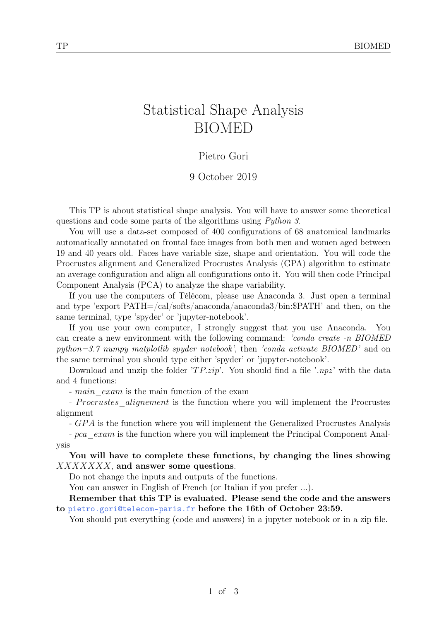# Statistical Shape Analysis BIOMED

#### Pietro Gori

#### 9 October 2019

This TP is about statistical shape analysis. You will have to answer some theoretical questions and code some parts of the algorithms using Python 3.

You will use a data-set composed of 400 configurations of 68 anatomical landmarks automatically annotated on frontal face images from both men and women aged between 19 and 40 years old. Faces have variable size, shape and orientation. You will code the Procrustes alignment and Generalized Procrustes Analysis (GPA) algorithm to estimate an average configuration and align all configurations onto it. You will then code Principal Component Analysis (PCA) to analyze the shape variability.

If you use the computers of Télécom, please use Anaconda 3. Just open a terminal and type 'export PATH=/cal/softs/anaconda/anaconda3/bin:\$PATH' and then, on the same terminal, type 'spyder' or 'jupyter-notebook'.

If you use your own computer, I strongly suggest that you use Anaconda. You can create a new environment with the following command: 'conda create -n BIOMED python=3.7 numpy matplotlib spyder notebook', then 'conda activate  $BIOMED'$  and on the same terminal you should type either 'spyder' or 'jupyter-notebook'.

Download and unzip the folder  $T P.zip'$ . You should find a file  $\cdot npz'$  with the data and 4 functions:

- main exam is the main function of the exam

- Procrustes alignement is the function where you will implement the Procrustes alignment

- GPA is the function where you will implement the Generalized Procrustes Analysis

- pca\_exam is the function where you will implement the Principal Component Analysis

You will have to complete these functions, by changing the lines showing  $XXXXXX$ , and answer some questions.

Do not change the inputs and outputs of the functions.

You can answer in English of French (or Italian if you prefer ...).

#### Remember that this TP is evaluated. Please send the code and the answers to <pietro.gori@telecom-paris.fr> before the 16th of October 23:59.

You should put everything (code and answers) in a jupyter notebook or in a zip file.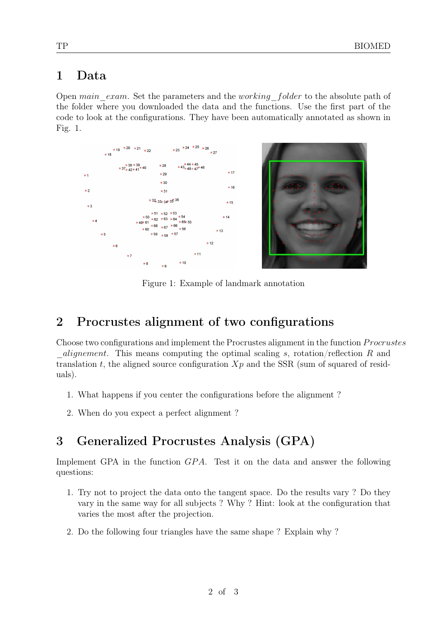### 1 Data

Open main exam. Set the parameters and the working folder to the absolute path of the folder where you downloaded the data and the functions. Use the first part of the code to look at the configurations. They have been automatically annotated as shown in Fig. [1.](#page-1-0)



<span id="page-1-0"></span>Figure 1: Example of landmark annotation

### 2 Procrustes alignment of two configurations

Choose two configurations and implement the Procrustes alignment in the function *Procrustes*  $_alignement$ . This means computing the optimal scaling s, rotation/reflection R and translation t, the aligned source configuration  $Xp$  and the SSR (sum of squared of residuals).

- 1. What happens if you center the configurations before the alignment ?
- 2. When do you expect a perfect alignment ?

## 3 Generalized Procrustes Analysis (GPA)

Implement GPA in the function  $GPA$ . Test it on the data and answer the following questions:

- 1. Try not to project the data onto the tangent space. Do the results vary ? Do they vary in the same way for all subjects ? Why ? Hint: look at the configuration that varies the most after the projection.
- 2. Do the following four triangles have the same shape ? Explain why ?